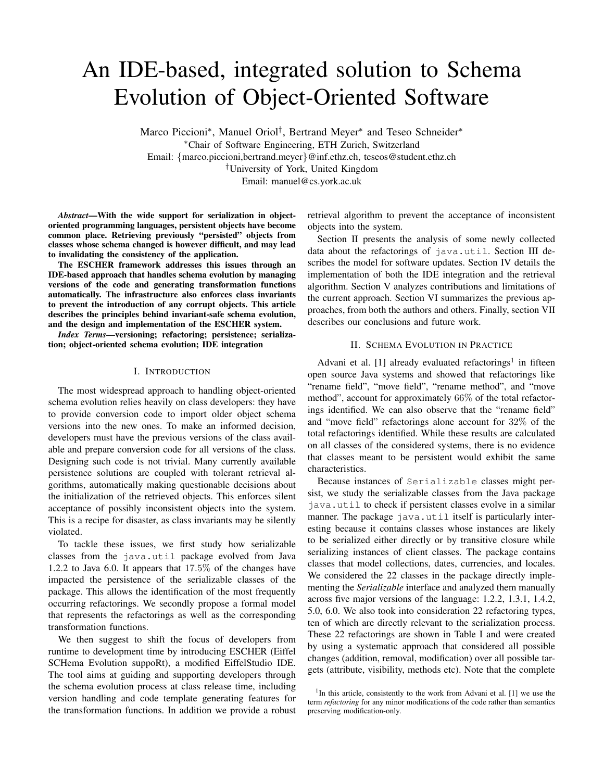# An IDE-based, integrated solution to Schema Evolution of Object-Oriented Software

Marco Piccioni<sup>∗</sup>, Manuel Oriol<sup>†</sup>, Bertrand Meyer<sup>∗</sup> and Teseo Schneider<sup>∗</sup> <sup>∗</sup>Chair of Software Engineering, ETH Zurich, Switzerland Email: {marco.piccioni,bertrand.meyer}@inf.ethz.ch, teseos@student.ethz.ch †University of York, United Kingdom Email: manuel@cs.york.ac.uk

*Abstract*—With the wide support for serialization in objectoriented programming languages, persistent objects have become common place. Retrieving previously "persisted" objects from classes whose schema changed is however difficult, and may lead to invalidating the consistency of the application.

The ESCHER framework addresses this issues through an IDE-based approach that handles schema evolution by managing versions of the code and generating transformation functions automatically. The infrastructure also enforces class invariants to prevent the introduction of any corrupt objects. This article describes the principles behind invariant-safe schema evolution, and the design and implementation of the ESCHER system.

*Index Terms*—versioning; refactoring; persistence; serialization; object-oriented schema evolution; IDE integration

# I. INTRODUCTION

The most widespread approach to handling object-oriented schema evolution relies heavily on class developers: they have to provide conversion code to import older object schema versions into the new ones. To make an informed decision, developers must have the previous versions of the class available and prepare conversion code for all versions of the class. Designing such code is not trivial. Many currently available persistence solutions are coupled with tolerant retrieval algorithms, automatically making questionable decisions about the initialization of the retrieved objects. This enforces silent acceptance of possibly inconsistent objects into the system. This is a recipe for disaster, as class invariants may be silently violated.

To tackle these issues, we first study how serializable classes from the java.util package evolved from Java 1.2.2 to Java 6.0. It appears that 17.5% of the changes have impacted the persistence of the serializable classes of the package. This allows the identification of the most frequently occurring refactorings. We secondly propose a formal model that represents the refactorings as well as the corresponding transformation functions.

We then suggest to shift the focus of developers from runtime to development time by introducing ESCHER (Eiffel SCHema Evolution suppoRt), a modified EiffelStudio IDE. The tool aims at guiding and supporting developers through the schema evolution process at class release time, including version handling and code template generating features for the transformation functions. In addition we provide a robust

retrieval algorithm to prevent the acceptance of inconsistent objects into the system.

Section II presents the analysis of some newly collected data about the refactorings of java.util. Section III describes the model for software updates. Section IV details the implementation of both the IDE integration and the retrieval algorithm. Section V analyzes contributions and limitations of the current approach. Section VI summarizes the previous approaches, from both the authors and others. Finally, section VII describes our conclusions and future work.

### II. SCHEMA EVOLUTION IN PRACTICE

Advani et al. [1] already evaluated refactorings<sup>1</sup> in fifteen open source Java systems and showed that refactorings like "rename field", "move field", "rename method", and "move method", account for approximately 66% of the total refactorings identified. We can also observe that the "rename field" and "move field" refactorings alone account for 32% of the total refactorings identified. While these results are calculated on all classes of the considered systems, there is no evidence that classes meant to be persistent would exhibit the same characteristics.

Because instances of Serializable classes might persist, we study the serializable classes from the Java package java.util to check if persistent classes evolve in a similar manner. The package java.util itself is particularly interesting because it contains classes whose instances are likely to be serialized either directly or by transitive closure while serializing instances of client classes. The package contains classes that model collections, dates, currencies, and locales. We considered the 22 classes in the package directly implementing the *Serializable* interface and analyzed them manually across five major versions of the language: 1.2.2, 1.3.1, 1.4.2, 5.0, 6.0. We also took into consideration 22 refactoring types, ten of which are directly relevant to the serialization process. These 22 refactorings are shown in Table I and were created by using a systematic approach that considered all possible changes (addition, removal, modification) over all possible targets (attribute, visibility, methods etc). Note that the complete

<sup>&</sup>lt;sup>1</sup>In this article, consistently to the work from Advani et al. [1] we use the term *refactoring* for any minor modifications of the code rather than semantics preserving modification-only.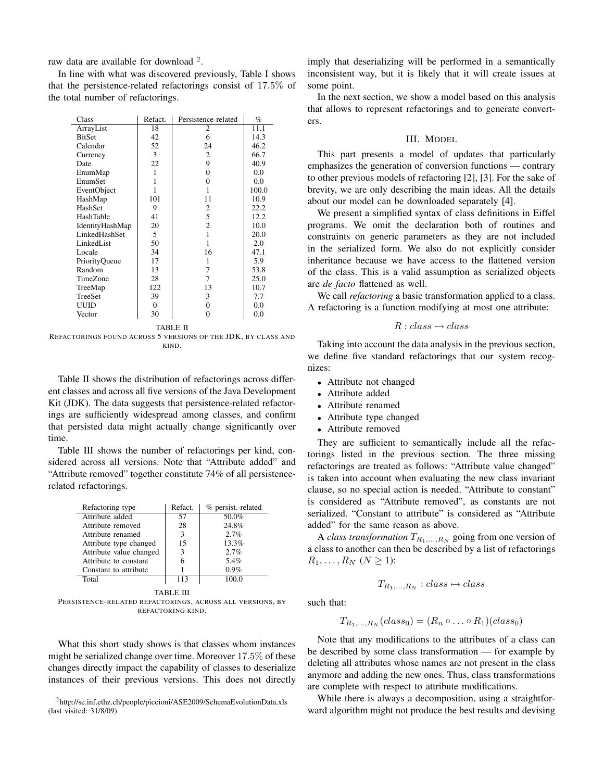raw data are available for download <sup>2</sup>.

In line with what was discovered previously, Table I shows that the persistence-related refactorings consist of 17.5% of the total number of refactorings.

| Class           | Refact.      | Persistence-related | $\%$  |
|-----------------|--------------|---------------------|-------|
| ArrayList       | 18           | 2                   | 11.1  |
| <b>BitSet</b>   | 42           | 6                   | 14.3  |
| Calendar        | 52           | 24                  | 46.2  |
| Currency        | 3            | 2                   | 66.7  |
| Date            | 22           | 9                   | 40.9  |
| EnumMap         | 1            | $\mathbf{0}$        | 0.0   |
| EnumSet         | 1            | $\theta$            | 0.0   |
| EventObject     | 1            | 1                   | 100.0 |
| HashMap         | 101          | 11                  | 10.9  |
| HashSet         | 9            | 2                   | 22.2  |
| HashTable       | 41           | 5                   | 12.2  |
| IdentityHashMap | 20           | $\overline{2}$      | 10.0  |
| LinkedHashSet   | 5            | 1                   | 20.0  |
| LinkedList      | 50           | 1                   | 2.0   |
| Locale          | 34           | 16                  | 47.1  |
| PriorityQueue   | 17           | 1                   | 5.9   |
| Random          | 13           | 7                   | 53.8  |
| TimeZone        | 28           | 7                   | 25.0  |
| TreeMap         | 122          | 13                  | 10.7  |
| TreeSet         | 39           | 3                   | 7.7   |
| <b>UUID</b>     | $\mathbf{0}$ | 0                   | 0.0   |
| Vector          | 30           | 0                   | 0.0   |

TABLE II

REFACTORINGS FOUND ACROSS 5 VERSIONS OF THE JDK, BY CLASS AND KIND.

Table II shows the distribution of refactorings across different classes and across all five versions of the Java Development Kit (JDK). The data suggests that persistence-related refactorings are sufficiently widespread among classes, and confirm that persisted data might actually change significantly over time.

Table III shows the number of refactorings per kind, considered across all versions. Note that "Attribute added" and "Attribute removed" together constitute 74% of all persistencerelated refactorings.

| Refactoring type        | Refact. | % persist.-related |  |  |  |  |  |  |
|-------------------------|---------|--------------------|--|--|--|--|--|--|
| Attribute added         | 57      | 50.0%              |  |  |  |  |  |  |
| Attribute removed       | 28      | 24.8%              |  |  |  |  |  |  |
| Attribute renamed       | 3       | 2.7%               |  |  |  |  |  |  |
| Attribute type changed  | 15      | 13.3%              |  |  |  |  |  |  |
| Attribute value changed | 3       | 2.7%               |  |  |  |  |  |  |
| Attribute to constant   | 6       | 5.4%               |  |  |  |  |  |  |
| Constant to attribute   |         | 0.9%               |  |  |  |  |  |  |
| Total                   | 113     |                    |  |  |  |  |  |  |

TABLE III PERSISTENCE-RELATED REFACTORINGS, ACROSS ALL VERSIONS, BY REFACTORING KIND.

What this short study shows is that classes whom instances might be serialized change over time. Moreover 17.5% of these changes directly impact the capability of classes to deserialize instances of their previous versions. This does not directly

<sup>2</sup>http://se.inf.ethz.ch/people/piccioni/ASE2009/SchemaEvolutionData.xls (last visited: 31/8/09)

imply that deserializing will be performed in a semantically inconsistent way, but it is likely that it will create issues at some point.

In the next section, we show a model based on this analysis that allows to represent refactorings and to generate converters.

#### III. MODEL

This part presents a model of updates that particularly emphasizes the generation of conversion functions — contrary to other previous models of refactoring [2], [3]. For the sake of brevity, we are only describing the main ideas. All the details about our model can be downloaded separately [4].

We present a simplified syntax of class definitions in Eiffel programs. We omit the declaration both of routines and constraints on generic parameters as they are not included in the serialized form. We also do not explicitly consider inheritance because we have access to the flattened version of the class. This is a valid assumption as serialized objects are *de facto* flattened as well.

We call *refactoring* a basic transformation applied to a class. A refactoring is a function modifying at most one attribute:

#### $R : class \mapsto class$

Taking into account the data analysis in the previous section, we define five standard refactorings that our system recognizes:

- Attribute not changed
- Attribute added
- Attribute renamed
- Attribute type changed
- Attribute removed

They are sufficient to semantically include all the refactorings listed in the previous section. The three missing refactorings are treated as follows: "Attribute value changed" is taken into account when evaluating the new class invariant clause, so no special action is needed. "Attribute to constant" is considered as "Attribute removed", as constants are not serialized. "Constant to attribute" is considered as "Attribute added" for the same reason as above.

A *class transformation*  $T_{R_1,...,R_N}$  going from one version of a class to another can then be described by a list of refactorings  $R_1, \ldots, R_N \ (N \geq 1)$ :

$$
T_{R_1,\ldots,R_N}: class \mapsto class
$$

such that:

$$
T_{R_1,\ldots,R_N}(class_0)=(R_n\circ\ldots\circ R_1)(class_0)
$$

Note that any modifications to the attributes of a class can be described by some class transformation — for example by deleting all attributes whose names are not present in the class anymore and adding the new ones. Thus, class transformations are complete with respect to attribute modifications.

While there is always a decomposition, using a straightforward algorithm might not produce the best results and devising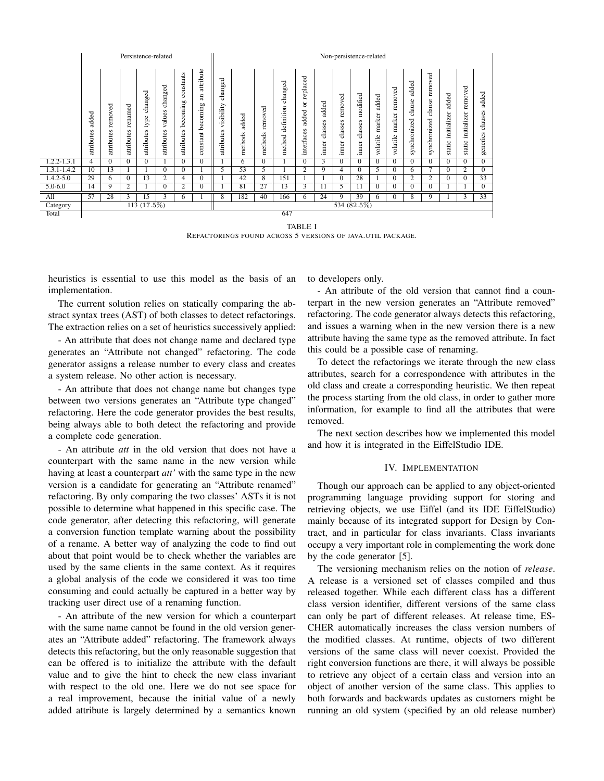|                 | Persistence-related |                       |                       |                                    |                                 |                                     |                                                     | Non-persistence-related             |                  |                    |                                 |                                      |                                |                                  |                              |                             |                               |                                    |                                   |                                |                                           |                              |
|-----------------|---------------------|-----------------------|-----------------------|------------------------------------|---------------------------------|-------------------------------------|-----------------------------------------------------|-------------------------------------|------------------|--------------------|---------------------------------|--------------------------------------|--------------------------------|----------------------------------|------------------------------|-----------------------------|-------------------------------|------------------------------------|-----------------------------------|--------------------------------|-------------------------------------------|------------------------------|
|                 | added<br>attributes | removed<br>attributes | renamed<br>attributes | पु<br>change<br>type<br>attributes | changed<br>values<br>attributes | constants<br>becoming<br>attributes | attribute<br>$\overline{a}$<br>becoming<br>constant | changed<br>visibility<br>attributes | added<br>methods | removed<br>methods | changed<br>definition<br>method | replaced<br>ă<br>added<br>interfaces | added<br>S<br>classer<br>inner | removed<br>S<br>classes<br>inner | modified<br>classes<br>inner | added<br>marker<br>volatile | removed<br>marker<br>volatile | added<br>ause<br>ಕ<br>synchronized | removed<br>clause<br>synchronized | added<br>initializer<br>static | removed<br>initializer<br>$_{\rm static}$ | added<br>clauses<br>generics |
| $1.2.2 - 1.3.1$ | 4                   | $\Omega$              | $\Omega$              | $\mathbf{0}$                       |                                 | $\Omega$                            | $\mathbf{0}$                                        |                                     | 6                | $\mathbf{0}$       |                                 | $\Omega$                             | 3                              | $\Omega$                         | $\Omega$                     | $\Omega$                    | $\Omega$                      | $\Omega$                           | $\Omega$                          | $\Omega$                       | $\overline{0}$                            | 0                            |
| $1.3.1 - 1.4.2$ | 10                  | 13                    | $\bf{1}$              |                                    | $\mathbf{0}$                    | $\mathbf{0}$                        | -1                                                  | 5                                   | 53               | 5                  |                                 | $\overline{2}$                       | 9                              | 4                                | $\Omega$                     | 5                           | $\mathbf{0}$                  | 6                                  | 7                                 | $\Omega$                       | 2                                         | 0                            |
| $1.4.2 - 5.0$   | 29                  | 6                     | $\Omega$              | 13                                 | $\overline{c}$                  | 4                                   | $\mathbf{0}$                                        |                                     | 42               | 8                  | 151                             |                                      |                                | $\Omega$                         | 28                           |                             | $\mathbf{0}$                  | 2                                  | 2                                 | $\Omega$                       | $\Omega$                                  | 33                           |
| $5.0 - 6.0$     | 14                  | 9                     | 2                     |                                    | $\Omega$                        | 2                                   | $\mathbf{0}$                                        |                                     | 81               | 27                 | 13                              | 3                                    | 11                             | 5                                | 11                           | $\Omega$                    | $\mathbf{0}$                  | $\Omega$                           | $\Omega$                          |                                |                                           | 0                            |
| All             | 57                  | 28                    | 3                     | 15                                 | 3                               | 6                                   |                                                     | 8                                   | 182              | 40                 | 166                             | 6                                    | 24                             | 9                                | 39                           | 6                           | $\mathbf{0}$                  | 8                                  | 9                                 |                                | 3                                         | 33                           |
| Category        | 113 (17.5%)         |                       |                       |                                    |                                 |                                     |                                                     | 534 (82.5%)                         |                  |                    |                                 |                                      |                                |                                  |                              |                             |                               |                                    |                                   |                                |                                           |                              |
| Total           |                     |                       |                       |                                    |                                 |                                     |                                                     |                                     |                  |                    | 647                             |                                      |                                |                                  |                              |                             |                               |                                    |                                   |                                |                                           |                              |
|                 |                     | <b>TABLE I</b>        |                       |                                    |                                 |                                     |                                                     |                                     |                  |                    |                                 |                                      |                                |                                  |                              |                             |                               |                                    |                                   |                                |                                           |                              |

REFACTORINGS FOUND ACROSS 5 VERSIONS OF JAVA.UTIL PACKAGE.

heuristics is essential to use this model as the basis of an implementation.

The current solution relies on statically comparing the abstract syntax trees (AST) of both classes to detect refactorings. The extraction relies on a set of heuristics successively applied:

- An attribute that does not change name and declared type generates an "Attribute not changed" refactoring. The code generator assigns a release number to every class and creates a system release. No other action is necessary.

- An attribute that does not change name but changes type between two versions generates an "Attribute type changed" refactoring. Here the code generator provides the best results, being always able to both detect the refactoring and provide a complete code generation.

- An attribute *att* in the old version that does not have a counterpart with the same name in the new version while having at least a counterpart *att'* with the same type in the new version is a candidate for generating an "Attribute renamed" refactoring. By only comparing the two classes' ASTs it is not possible to determine what happened in this specific case. The code generator, after detecting this refactoring, will generate a conversion function template warning about the possibility of a rename. A better way of analyzing the code to find out about that point would be to check whether the variables are used by the same clients in the same context. As it requires a global analysis of the code we considered it was too time consuming and could actually be captured in a better way by tracking user direct use of a renaming function.

- An attribute of the new version for which a counterpart with the same name cannot be found in the old version generates an "Attribute added" refactoring. The framework always detects this refactoring, but the only reasonable suggestion that can be offered is to initialize the attribute with the default value and to give the hint to check the new class invariant with respect to the old one. Here we do not see space for a real improvement, because the initial value of a newly added attribute is largely determined by a semantics known to developers only.

- An attribute of the old version that cannot find a counterpart in the new version generates an "Attribute removed" refactoring. The code generator always detects this refactoring, and issues a warning when in the new version there is a new attribute having the same type as the removed attribute. In fact this could be a possible case of renaming.

To detect the refactorings we iterate through the new class attributes, search for a correspondence with attributes in the old class and create a corresponding heuristic. We then repeat the process starting from the old class, in order to gather more information, for example to find all the attributes that were removed.

The next section describes how we implemented this model and how it is integrated in the EiffelStudio IDE.

#### IV. IMPLEMENTATION

Though our approach can be applied to any object-oriented programming language providing support for storing and retrieving objects, we use Eiffel (and its IDE EiffelStudio) mainly because of its integrated support for Design by Contract, and in particular for class invariants. Class invariants occupy a very important role in complementing the work done by the code generator [5].

The versioning mechanism relies on the notion of *release*. A release is a versioned set of classes compiled and thus released together. While each different class has a different class version identifier, different versions of the same class can only be part of different releases. At release time, ES-CHER automatically increases the class version numbers of the modified classes. At runtime, objects of two different versions of the same class will never coexist. Provided the right conversion functions are there, it will always be possible to retrieve any object of a certain class and version into an object of another version of the same class. This applies to both forwards and backwards updates as customers might be running an old system (specified by an old release number)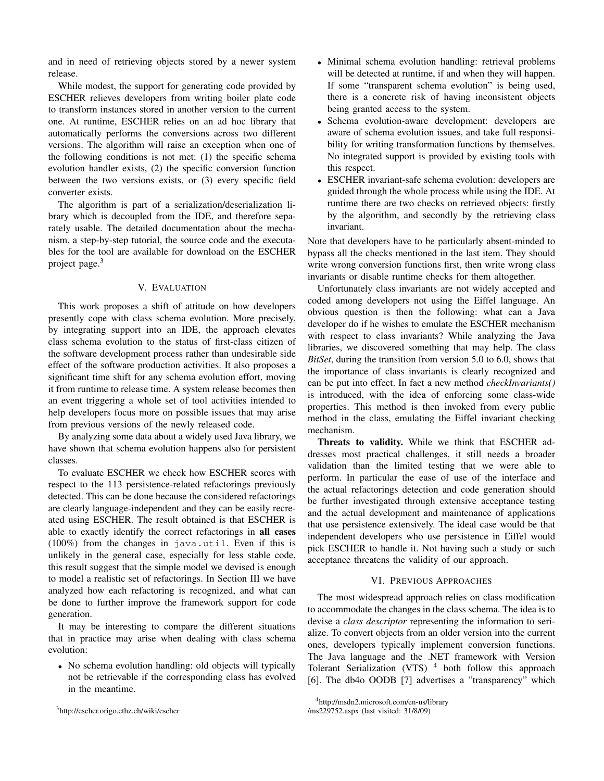and in need of retrieving objects stored by a newer system release.

While modest, the support for generating code provided by ESCHER relieves developers from writing boiler plate code to transform instances stored in another version to the current one. At runtime, ESCHER relies on an ad hoc library that automatically performs the conversions across two different versions. The algorithm will raise an exception when one of the following conditions is not met: (1) the specific schema evolution handler exists, (2) the specific conversion function between the two versions exists, or (3) every specific field converter exists.

The algorithm is part of a serialization/deserialization library which is decoupled from the IDE, and therefore separately usable. The detailed documentation about the mechanism, a step-by-step tutorial, the source code and the executables for the tool are available for download on the ESCHER project page.<sup>3</sup>

## V. EVALUATION

This work proposes a shift of attitude on how developers presently cope with class schema evolution. More precisely, by integrating support into an IDE, the approach elevates class schema evolution to the status of first-class citizen of the software development process rather than undesirable side effect of the software production activities. It also proposes a significant time shift for any schema evolution effort, moving it from runtime to release time. A system release becomes then an event triggering a whole set of tool activities intended to help developers focus more on possible issues that may arise from previous versions of the newly released code.

By analyzing some data about a widely used Java library, we have shown that schema evolution happens also for persistent classes.

To evaluate ESCHER we check how ESCHER scores with respect to the 113 persistence-related refactorings previously detected. This can be done because the considered refactorings are clearly language-independent and they can be easily recreated using ESCHER. The result obtained is that ESCHER is able to exactly identify the correct refactorings in all cases (100%) from the changes in java.util. Even if this is unlikely in the general case, especially for less stable code, this result suggest that the simple model we devised is enough to model a realistic set of refactorings. In Section III we have analyzed how each refactoring is recognized, and what can be done to further improve the framework support for code generation.

It may be interesting to compare the different situations that in practice may arise when dealing with class schema evolution:

• No schema evolution handling: old objects will typically not be retrievable if the corresponding class has evolved in the meantime.

- Minimal schema evolution handling: retrieval problems will be detected at runtime, if and when they will happen. If some "transparent schema evolution" is being used, there is a concrete risk of having inconsistent objects being granted access to the system.
- Schema evolution-aware development: developers are aware of schema evolution issues, and take full responsibility for writing transformation functions by themselves. No integrated support is provided by existing tools with this respect.
- ESCHER invariant-safe schema evolution: developers are guided through the whole process while using the IDE. At runtime there are two checks on retrieved objects: firstly by the algorithm, and secondly by the retrieving class invariant.

Note that developers have to be particularly absent-minded to bypass all the checks mentioned in the last item. They should write wrong conversion functions first, then write wrong class invariants or disable runtime checks for them altogether.

Unfortunately class invariants are not widely accepted and coded among developers not using the Eiffel language. An obvious question is then the following: what can a Java developer do if he wishes to emulate the ESCHER mechanism with respect to class invariants? While analyzing the Java libraries, we discovered something that may help. The class *BitSet*, during the transition from version 5.0 to 6.0, shows that the importance of class invariants is clearly recognized and can be put into effect. In fact a new method *checkInvariants()* is introduced, with the idea of enforcing some class-wide properties. This method is then invoked from every public method in the class, emulating the Eiffel invariant checking mechanism.

Threats to validity. While we think that ESCHER addresses most practical challenges, it still needs a broader validation than the limited testing that we were able to perform. In particular the ease of use of the interface and the actual refactorings detection and code generation should be further investigated through extensive acceptance testing and the actual development and maintenance of applications that use persistence extensively. The ideal case would be that independent developers who use persistence in Eiffel would pick ESCHER to handle it. Not having such a study or such acceptance threatens the validity of our approach.

#### VI. PREVIOUS APPROACHES

The most widespread approach relies on class modification to accommodate the changes in the class schema. The idea is to devise a *class descriptor* representing the information to serialize. To convert objects from an older version into the current ones, developers typically implement conversion functions. The Java language and the .NET framework with Version Tolerant Serialization (VTS)  $4$  both follow this approach [6]. The db4o OODB [7] advertises a "transparency" which

<sup>3</sup>http://escher.origo.ethz.ch/wiki/escher

<sup>4</sup>http://msdn2.microsoft.com/en-us/library /ms229752.aspx (last visited: 31/8/09)